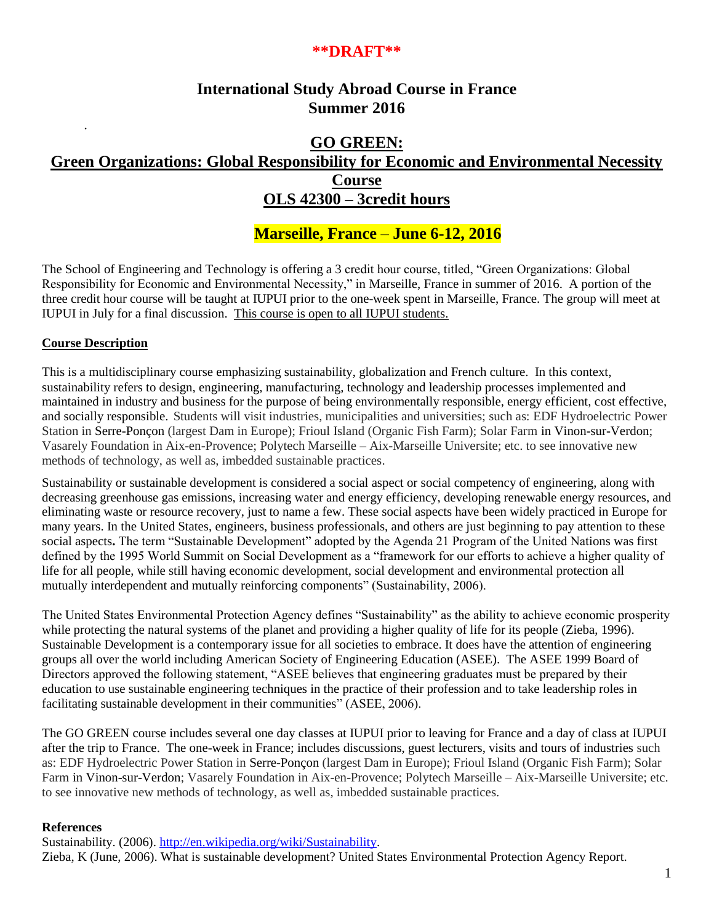# **\*\*DRAFT\*\***

# **International Study Abroad Course in France Summer 2016**

# **GO GREEN: Green Organizations: Global Responsibility for Economic and Environmental Necessity Course OLS 42300 – 3credit hours**

# **Marseille, France** – **June 6-12, 2016**

The School of Engineering and Technology is offering a 3 credit hour course, titled, "Green Organizations: Global Responsibility for Economic and Environmental Necessity," in Marseille, France in summer of 2016. A portion of the three credit hour course will be taught at IUPUI prior to the one-week spent in Marseille, France. The group will meet at IUPUI in July for a final discussion. This course is open to all IUPUI students.

# **Course Description**

.

This is a multidisciplinary course emphasizing sustainability, globalization and French culture. In this context, sustainability refers to design, engineering, manufacturing, technology and leadership processes implemented and maintained in industry and business for the purpose of being environmentally responsible, energy efficient, cost effective, and socially responsible. Students will visit industries, municipalities and universities; such as: EDF Hydroelectric Power Station in Serre-Ponçon (largest Dam in Europe); Frioul Island (Organic Fish Farm); Solar Farm in Vinon-sur-Verdon; Vasarely Foundation in Aix-en-Provence; Polytech Marseille – Aix-Marseille Universite; etc. to see innovative new methods of technology, as well as, imbedded sustainable practices.

Sustainability or sustainable development is considered a social aspect or social competency of engineering, along with decreasing greenhouse gas emissions, increasing water and energy efficiency, developing renewable energy resources, and eliminating waste or resource recovery, just to name a few. These social aspects have been widely practiced in Europe for many years. In the United States, engineers, business professionals, and others are just beginning to pay attention to these social aspects. The term "Sustainable Development" adopted by the Agenda 21 Program of the United Nations was first defined by the 1995 World Summit on Social Development as a "framework for our efforts to achieve a higher quality of life for all people, while still having economic development, social development and environmental protection all mutually interdependent and mutually reinforcing components" (Sustainability, 2006).

The United States Environmental Protection Agency defines "Sustainability" as the ability to achieve economic prosperity while protecting the natural systems of the planet and providing a higher quality of life for its people (Zieba, 1996). Sustainable Development is a contemporary issue for all societies to embrace. It does have the attention of engineering groups all over the world including American Society of Engineering Education (ASEE). The ASEE 1999 Board of Directors approved the following statement, "ASEE believes that engineering graduates must be prepared by their education to use sustainable engineering techniques in the practice of their profession and to take leadership roles in facilitating sustainable development in their communities" (ASEE, 2006).

The GO GREEN course includes several one day classes at IUPUI prior to leaving for France and a day of class at IUPUI after the trip to France. The one-week in France; includes discussions, guest lecturers, visits and tours of industries such as: EDF Hydroelectric Power Station in Serre-Ponçon (largest Dam in Europe); Frioul Island (Organic Fish Farm); Solar Farm in Vinon-sur-Verdon; Vasarely Foundation in Aix-en-Provence; Polytech Marseille – Aix-Marseille Universite; etc. to see innovative new methods of technology, as well as, imbedded sustainable practices.

#### **References**

Sustainability. (2006). [http://en.wikipedia.org/wiki/Sustainability.](http://en.wikipedia.org/wiki/Sustainability)

Zieba, K (June, 2006). What is sustainable development? United States Environmental Protection Agency Report.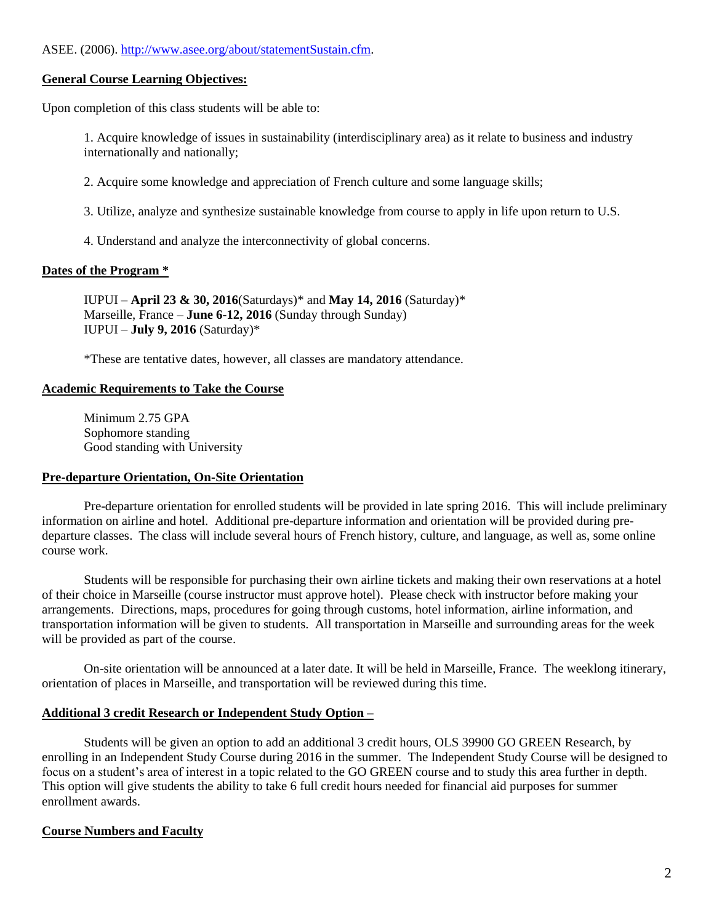# ASEE. (2006). [http://www.asee.org/about/statementSustain.cfm.](http://www.asee.org/about/statementSustain.cfm)

#### **General Course Learning Objectives:**

Upon completion of this class students will be able to:

1. Acquire knowledge of issues in sustainability (interdisciplinary area) as it relate to business and industry internationally and nationally;

2. Acquire some knowledge and appreciation of French culture and some language skills;

3. Utilize, analyze and synthesize sustainable knowledge from course to apply in life upon return to U.S.

4. Understand and analyze the interconnectivity of global concerns.

#### **Dates of the Program \***

IUPUI – **April 23 & 30, 2016**(Saturdays)\* and **May 14, 2016** (Saturday)\* Marseille, France – **June 6-12, 2016** (Sunday through Sunday) IUPUI – **July 9, 2016** (Saturday)\*

\*These are tentative dates, however, all classes are mandatory attendance.

#### **Academic Requirements to Take the Course**

Minimum 2.75 GPA Sophomore standing Good standing with University

#### **Pre-departure Orientation, On-Site Orientation**

Pre-departure orientation for enrolled students will be provided in late spring 2016. This will include preliminary information on airline and hotel. Additional pre-departure information and orientation will be provided during predeparture classes. The class will include several hours of French history, culture, and language, as well as, some online course work.

Students will be responsible for purchasing their own airline tickets and making their own reservations at a hotel of their choice in Marseille (course instructor must approve hotel). Please check with instructor before making your arrangements. Directions, maps, procedures for going through customs, hotel information, airline information, and transportation information will be given to students. All transportation in Marseille and surrounding areas for the week will be provided as part of the course.

On-site orientation will be announced at a later date. It will be held in Marseille, France. The weeklong itinerary, orientation of places in Marseille, and transportation will be reviewed during this time.

#### **Additional 3 credit Research or Independent Study Option –**

Students will be given an option to add an additional 3 credit hours, OLS 39900 GO GREEN Research, by enrolling in an Independent Study Course during 2016 in the summer. The Independent Study Course will be designed to focus on a student's area of interest in a topic related to the GO GREEN course and to study this area further in depth. This option will give students the ability to take 6 full credit hours needed for financial aid purposes for summer enrollment awards.

#### **Course Numbers and Faculty**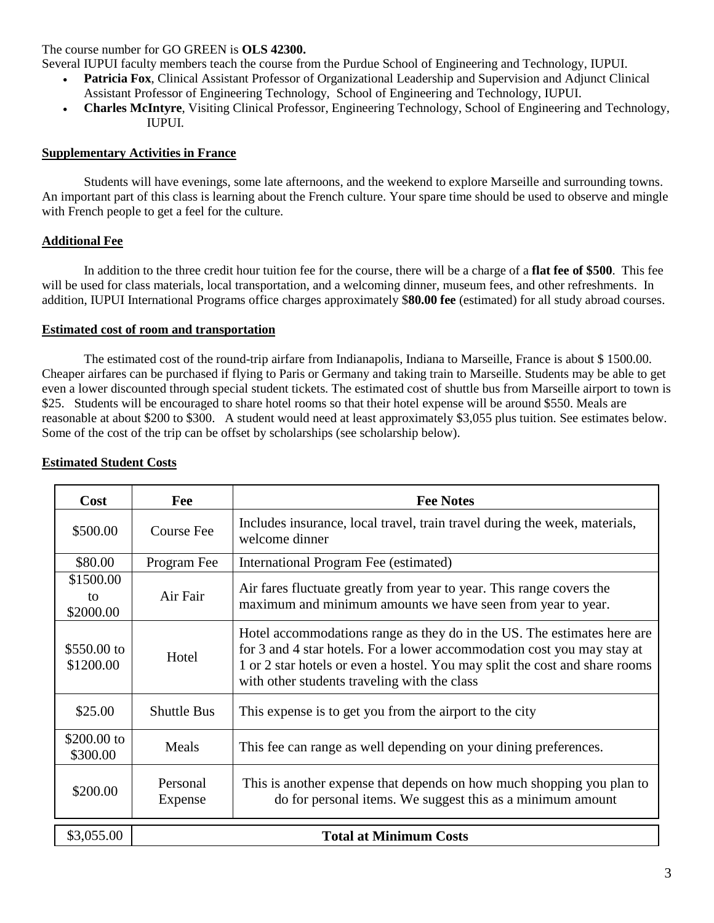### The course number for GO GREEN is **OLS 42300.**

Several IUPUI faculty members teach the course from the Purdue School of Engineering and Technology, IUPUI.

- **Patricia Fox**, Clinical Assistant Professor of Organizational Leadership and Supervision and Adjunct Clinical Assistant Professor of Engineering Technology, School of Engineering and Technology, IUPUI.
- **Charles McIntyre**, Visiting Clinical Professor, Engineering Technology, School of Engineering and Technology, IUPUI.

### **Supplementary Activities in France**

Students will have evenings, some late afternoons, and the weekend to explore Marseille and surrounding towns. An important part of this class is learning about the French culture. Your spare time should be used to observe and mingle with French people to get a feel for the culture.

# **Additional Fee**

In addition to the three credit hour tuition fee for the course, there will be a charge of a **flat fee of \$500**. This fee will be used for class materials, local transportation, and a welcoming dinner, museum fees, and other refreshments. In addition, IUPUI International Programs office charges approximately \$**80.00 fee** (estimated) for all study abroad courses.

# **Estimated cost of room and transportation**

The estimated cost of the round-trip airfare from Indianapolis, Indiana to Marseille, France is about \$ 1500.00. Cheaper airfares can be purchased if flying to Paris or Germany and taking train to Marseille. Students may be able to get even a lower discounted through special student tickets. The estimated cost of shuttle bus from Marseille airport to town is \$25. Students will be encouraged to share hotel rooms so that their hotel expense will be around \$550. Meals are reasonable at about \$200 to \$300. A student would need at least approximately \$3,055 plus tuition. See estimates below. Some of the cost of the trip can be offset by scholarships (see scholarship below).

| Cost                         | Fee                           | <b>Fee Notes</b>                                                                                                                                                                                                                                                                  |
|------------------------------|-------------------------------|-----------------------------------------------------------------------------------------------------------------------------------------------------------------------------------------------------------------------------------------------------------------------------------|
| \$500.00                     | <b>Course Fee</b>             | Includes insurance, local travel, train travel during the week, materials,<br>welcome dinner                                                                                                                                                                                      |
| \$80.00                      | Program Fee                   | International Program Fee (estimated)                                                                                                                                                                                                                                             |
| \$1500.00<br>to<br>\$2000.00 | Air Fair                      | Air fares fluctuate greatly from year to year. This range covers the<br>maximum and minimum amounts we have seen from year to year.                                                                                                                                               |
| \$550.00 to<br>\$1200.00     | Hotel                         | Hotel accommodations range as they do in the US. The estimates here are<br>for 3 and 4 star hotels. For a lower accommodation cost you may stay at<br>1 or 2 star hotels or even a hostel. You may split the cost and share rooms<br>with other students traveling with the class |
| \$25.00                      | <b>Shuttle Bus</b>            | This expense is to get you from the airport to the city                                                                                                                                                                                                                           |
| \$200.00 to<br>\$300.00      | Meals                         | This fee can range as well depending on your dining preferences.                                                                                                                                                                                                                  |
| \$200.00                     | Personal<br>Expense           | This is another expense that depends on how much shopping you plan to<br>do for personal items. We suggest this as a minimum amount                                                                                                                                               |
| \$3,055.00                   | <b>Total at Minimum Costs</b> |                                                                                                                                                                                                                                                                                   |

### **Estimated Student Costs**